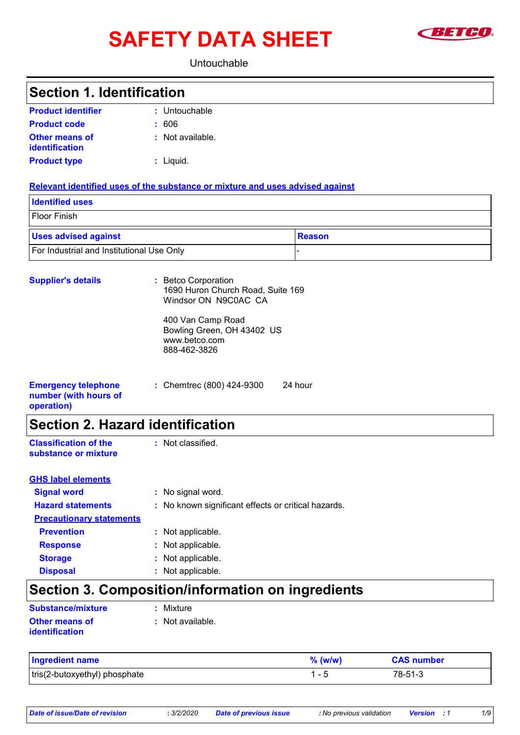# SAFETY DATA SHEET **SEFEP**



#### Untouchable

### Untouchable **: :** Not available. **:** Liquid. Chemtrec (800) 424-9300 24 hour **: Product identifier Other means of identification Product type Emergency telephone number (with hours of operation) Section 1. Identification Supplier's details :** Betco Corporation 1690 Huron Church Road, Suite 169 Windsor ON N9C0AC CA 400 Van Camp Road Bowling Green, OH 43402 US www.betco.com 888-462-3826 **Relevant identified uses of the substance or mixture and uses advised against** Floor Finish **Identified uses Example 3 Alle Section 2 Alle Section 2 Alle Section 2 Alle Section 2 Alle Section 2 Alle Section 2 Alle Section 2 Alle Section 2 Alle Section 2 Alle Section 2 Alle Section 2 Alle Section 2 Alle Section 2 Alle Section 2 A Product code :** 606 **Section 2. Hazard identification Classification of the substance or mixture** : Not classified. **Signal word :** No signal word. **Hazard statements :** No known significant effects or critical hazards. **Precautionary statements Prevention :** Not applicable. **Response :** Not applicable. **Storage :** Not applicable. **Disposal :** Not applicable. **GHS label elements Section 3. Composition/information on ingredients Other means of identification :** Not available. **Substance/mixture :** Mixture

| Ingredient name               | $\%$ (w/w) | <b>CAS number</b> |
|-------------------------------|------------|-------------------|
| tris(2-butoxyethyl) phosphate |            | 78-51-3           |

*Date of issue/Date of revision* **:** *3/2/2020 Date of previous issue : No previous validation Version : 1 1/9*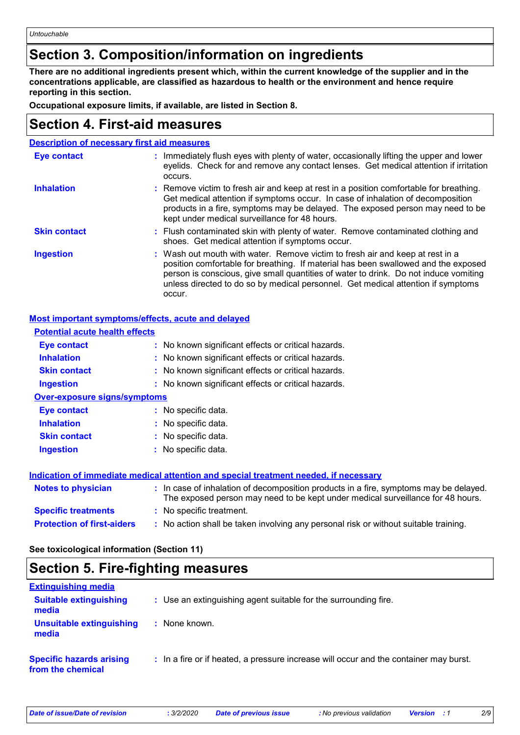### **Section 3. Composition/information on ingredients**

**There are no additional ingredients present which, within the current knowledge of the supplier and in the concentrations applicable, are classified as hazardous to health or the environment and hence require reporting in this section.**

**Occupational exposure limits, if available, are listed in Section 8.**

### **Section 4. First-aid measures**

| <b>Description of necessary first aid measures</b> |                                                                                                                                                                                                                                                                                                                                                           |  |  |  |  |
|----------------------------------------------------|-----------------------------------------------------------------------------------------------------------------------------------------------------------------------------------------------------------------------------------------------------------------------------------------------------------------------------------------------------------|--|--|--|--|
| <b>Eye contact</b>                                 | : Immediately flush eyes with plenty of water, occasionally lifting the upper and lower<br>eyelids. Check for and remove any contact lenses. Get medical attention if irritation<br>occurs.                                                                                                                                                               |  |  |  |  |
| <b>Inhalation</b>                                  | : Remove victim to fresh air and keep at rest in a position comfortable for breathing.<br>Get medical attention if symptoms occur. In case of inhalation of decomposition<br>products in a fire, symptoms may be delayed. The exposed person may need to be<br>kept under medical surveillance for 48 hours.                                              |  |  |  |  |
| <b>Skin contact</b>                                | : Flush contaminated skin with plenty of water. Remove contaminated clothing and<br>shoes. Get medical attention if symptoms occur.                                                                                                                                                                                                                       |  |  |  |  |
| <b>Ingestion</b>                                   | : Wash out mouth with water. Remove victim to fresh air and keep at rest in a<br>position comfortable for breathing. If material has been swallowed and the exposed<br>person is conscious, give small quantities of water to drink. Do not induce vomiting<br>unless directed to do so by medical personnel. Get medical attention if symptoms<br>occur. |  |  |  |  |

#### **Most important symptoms/effects, acute and delayed**

| <b>Potential acute health effects</b> |                                                                                                                                                                          |
|---------------------------------------|--------------------------------------------------------------------------------------------------------------------------------------------------------------------------|
| Eye contact                           | : No known significant effects or critical hazards.                                                                                                                      |
| <b>Inhalation</b>                     | : No known significant effects or critical hazards.                                                                                                                      |
| <b>Skin contact</b>                   | : No known significant effects or critical hazards.                                                                                                                      |
| <b>Ingestion</b>                      | : No known significant effects or critical hazards.                                                                                                                      |
| <b>Over-exposure signs/symptoms</b>   |                                                                                                                                                                          |
| Eye contact                           | : No specific data.                                                                                                                                                      |
| <b>Inhalation</b>                     | : No specific data.                                                                                                                                                      |
| <b>Skin contact</b>                   | : No specific data.                                                                                                                                                      |
| <b>Ingestion</b>                      | : No specific data.                                                                                                                                                      |
|                                       | Indication of immediate medical attention and special treatment needed, if necessary                                                                                     |
| <b>Notes to physician</b>             | : In case of inhalation of decomposition products in a fire, symptoms may be delayed.<br>The exposed person may need to be kept under medical surveillance for 48 hours. |
| <b>Specific treatments</b>            | : No specific treatment.                                                                                                                                                 |
| <b>Protection of first-aiders</b>     | : No action shall be taken involving any personal risk or without suitable training.                                                                                     |

**See toxicological information (Section 11)**

### **Section 5. Fire-fighting measures**

| <b>Extinguishing media</b>                           |                                                                                       |
|------------------------------------------------------|---------------------------------------------------------------------------------------|
| <b>Suitable extinguishing</b><br>media               | : Use an extinguishing agent suitable for the surrounding fire.                       |
| <b>Unsuitable extinguishing</b><br>media             | : None known.                                                                         |
| <b>Specific hazards arising</b><br>from the chemical | : In a fire or if heated, a pressure increase will occur and the container may burst. |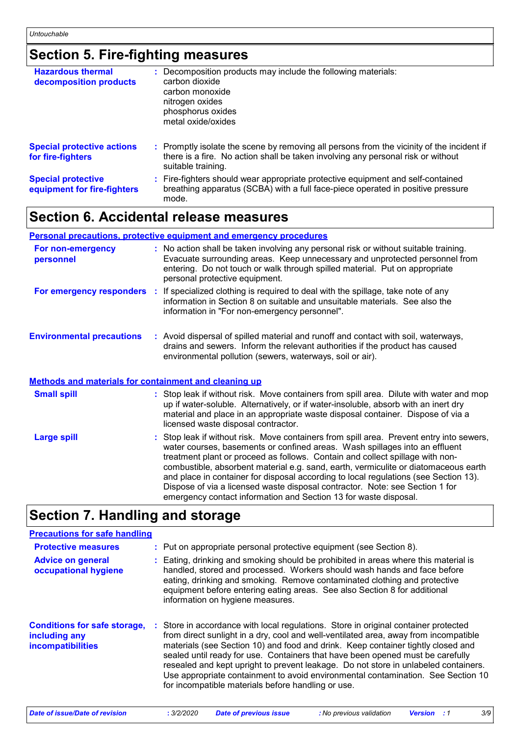# **Section 5. Fire-fighting measures**

| <b>Hazardous thermal</b><br>decomposition products       | : Decomposition products may include the following materials:<br>carbon dioxide<br>carbon monoxide<br>nitrogen oxides<br>phosphorus oxides<br>metal oxide/oxides                                    |
|----------------------------------------------------------|-----------------------------------------------------------------------------------------------------------------------------------------------------------------------------------------------------|
| <b>Special protective actions</b><br>for fire-fighters   | : Promptly isolate the scene by removing all persons from the vicinity of the incident if<br>there is a fire. No action shall be taken involving any personal risk or without<br>suitable training. |
| <b>Special protective</b><br>equipment for fire-fighters | : Fire-fighters should wear appropriate protective equipment and self-contained<br>breathing apparatus (SCBA) with a full face-piece operated in positive pressure<br>mode.                         |

### **Section 6. Accidental release measures**

#### **Personal precautions, protective equipment and emergency procedures**

| For non-emergency<br>personnel                               | : No action shall be taken involving any personal risk or without suitable training.<br>Evacuate surrounding areas. Keep unnecessary and unprotected personnel from<br>entering. Do not touch or walk through spilled material. Put on appropriate<br>personal protective equipment.                                                                                                                                                                                                                                                                                                        |
|--------------------------------------------------------------|---------------------------------------------------------------------------------------------------------------------------------------------------------------------------------------------------------------------------------------------------------------------------------------------------------------------------------------------------------------------------------------------------------------------------------------------------------------------------------------------------------------------------------------------------------------------------------------------|
|                                                              | For emergency responders : If specialized clothing is required to deal with the spillage, take note of any<br>information in Section 8 on suitable and unsuitable materials. See also the<br>information in "For non-emergency personnel".                                                                                                                                                                                                                                                                                                                                                  |
| <b>Environmental precautions</b>                             | : Avoid dispersal of spilled material and runoff and contact with soil, waterways,<br>drains and sewers. Inform the relevant authorities if the product has caused<br>environmental pollution (sewers, waterways, soil or air).                                                                                                                                                                                                                                                                                                                                                             |
| <b>Methods and materials for containment and cleaning up</b> |                                                                                                                                                                                                                                                                                                                                                                                                                                                                                                                                                                                             |
| <b>Small spill</b>                                           | : Stop leak if without risk. Move containers from spill area. Dilute with water and mop<br>up if water-soluble. Alternatively, or if water-insoluble, absorb with an inert dry<br>material and place in an appropriate waste disposal container. Dispose of via a<br>licensed waste disposal contractor.                                                                                                                                                                                                                                                                                    |
| <b>Large spill</b>                                           | : Stop leak if without risk. Move containers from spill area. Prevent entry into sewers,<br>water courses, basements or confined areas. Wash spillages into an effluent<br>treatment plant or proceed as follows. Contain and collect spillage with non-<br>combustible, absorbent material e.g. sand, earth, vermiculite or diatomaceous earth<br>and place in container for disposal according to local regulations (see Section 13).<br>Dispose of via a licensed waste disposal contractor. Note: see Section 1 for<br>emergency contact information and Section 13 for waste disposal. |

# **Section 7. Handling and storage**

| <b>Precautions for safe handling</b>                                      |                                                                                                                                                                                                                                                                                                                                                                                                                                                                                                                                                                                    |
|---------------------------------------------------------------------------|------------------------------------------------------------------------------------------------------------------------------------------------------------------------------------------------------------------------------------------------------------------------------------------------------------------------------------------------------------------------------------------------------------------------------------------------------------------------------------------------------------------------------------------------------------------------------------|
| <b>Protective measures</b>                                                | : Put on appropriate personal protective equipment (see Section 8).                                                                                                                                                                                                                                                                                                                                                                                                                                                                                                                |
| <b>Advice on general</b><br>occupational hygiene                          | : Eating, drinking and smoking should be prohibited in areas where this material is<br>handled, stored and processed. Workers should wash hands and face before<br>eating, drinking and smoking. Remove contaminated clothing and protective<br>equipment before entering eating areas. See also Section 8 for additional<br>information on hygiene measures.                                                                                                                                                                                                                      |
| <b>Conditions for safe storage,</b><br>including any<br>incompatibilities | : Store in accordance with local regulations. Store in original container protected<br>from direct sunlight in a dry, cool and well-ventilated area, away from incompatible<br>materials (see Section 10) and food and drink. Keep container tightly closed and<br>sealed until ready for use. Containers that have been opened must be carefully<br>resealed and kept upright to prevent leakage. Do not store in unlabeled containers.<br>Use appropriate containment to avoid environmental contamination. See Section 10<br>for incompatible materials before handling or use. |

*Date of issue/Date of revision* **:** *3/2/2020 Date of previous issue : No previous validation Version : 1 3/9*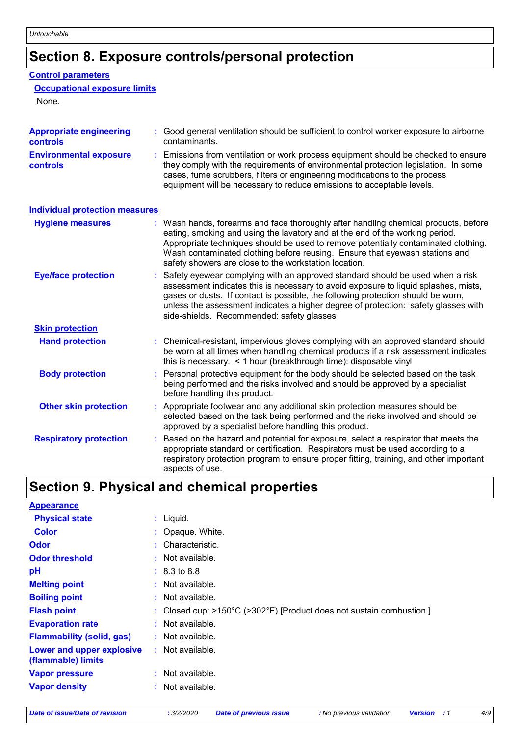# **Section 8. Exposure controls/personal protection**

#### **Control parameters**

#### **Occupational exposure limits**

None.

| <b>Appropriate engineering</b><br>controls | : Good general ventilation should be sufficient to control worker exposure to airborne<br>contaminants.                                                                                                                                                                                                                                                                                           |
|--------------------------------------------|---------------------------------------------------------------------------------------------------------------------------------------------------------------------------------------------------------------------------------------------------------------------------------------------------------------------------------------------------------------------------------------------------|
| <b>Environmental exposure</b><br>controls  | : Emissions from ventilation or work process equipment should be checked to ensure<br>they comply with the requirements of environmental protection legislation. In some<br>cases, fume scrubbers, filters or engineering modifications to the process<br>equipment will be necessary to reduce emissions to acceptable levels.                                                                   |
| <b>Individual protection measures</b>      |                                                                                                                                                                                                                                                                                                                                                                                                   |
| <b>Hygiene measures</b>                    | : Wash hands, forearms and face thoroughly after handling chemical products, before<br>eating, smoking and using the lavatory and at the end of the working period.<br>Appropriate techniques should be used to remove potentially contaminated clothing.<br>Wash contaminated clothing before reusing. Ensure that eyewash stations and<br>safety showers are close to the workstation location. |
| <b>Eye/face protection</b>                 | Safety eyewear complying with an approved standard should be used when a risk<br>assessment indicates this is necessary to avoid exposure to liquid splashes, mists,<br>gases or dusts. If contact is possible, the following protection should be worn,<br>unless the assessment indicates a higher degree of protection: safety glasses with<br>side-shields. Recommended: safety glasses       |
| <b>Skin protection</b>                     |                                                                                                                                                                                                                                                                                                                                                                                                   |
| <b>Hand protection</b>                     | : Chemical-resistant, impervious gloves complying with an approved standard should<br>be worn at all times when handling chemical products if a risk assessment indicates<br>this is necessary. $\leq 1$ hour (breakthrough time): disposable vinyl                                                                                                                                               |
| <b>Body protection</b>                     | Personal protective equipment for the body should be selected based on the task<br>being performed and the risks involved and should be approved by a specialist<br>before handling this product.                                                                                                                                                                                                 |
| <b>Other skin protection</b>               | : Appropriate footwear and any additional skin protection measures should be<br>selected based on the task being performed and the risks involved and should be<br>approved by a specialist before handling this product.                                                                                                                                                                         |
| <b>Respiratory protection</b>              | : Based on the hazard and potential for exposure, select a respirator that meets the<br>appropriate standard or certification. Respirators must be used according to a<br>respiratory protection program to ensure proper fitting, training, and other important<br>aspects of use.                                                                                                               |

# **Section 9. Physical and chemical properties**

| <b>Appearance</b>                               |                         |                                                                      |
|-------------------------------------------------|-------------------------|----------------------------------------------------------------------|
| <b>Physical state</b>                           | $:$ Liquid.             |                                                                      |
| <b>Color</b>                                    | : Opaque. White.        |                                                                      |
| <b>Odor</b>                                     | : Characteristic.       |                                                                      |
| <b>Odor threshold</b>                           | : Not available.        |                                                                      |
| рH                                              | $: 8.3 \text{ to } 8.8$ |                                                                      |
| <b>Melting point</b>                            | $:$ Not available.      |                                                                      |
| <b>Boiling point</b>                            | $:$ Not available.      |                                                                      |
| <b>Flash point</b>                              |                         | : Closed cup: >150°C (>302°F) [Product does not sustain combustion.] |
| <b>Evaporation rate</b>                         | $:$ Not available.      |                                                                      |
| <b>Flammability (solid, gas)</b>                | $:$ Not available.      |                                                                      |
| Lower and upper explosive<br>(flammable) limits | $:$ Not available.      |                                                                      |
| <b>Vapor pressure</b>                           | $:$ Not available.      |                                                                      |
| <b>Vapor density</b>                            | $:$ Not available.      |                                                                      |

*Date of issue/Date of revision* **:** *3/2/2020 Date of previous issue : No previous validation Version : 1 4/9*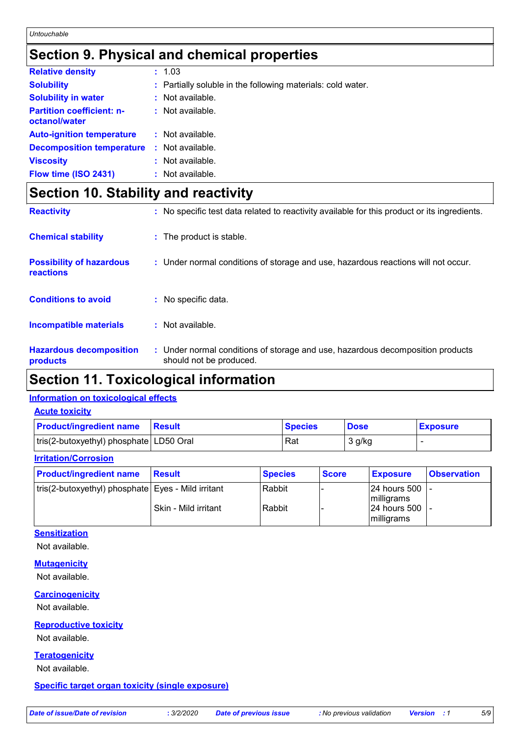### **Section 9. Physical and chemical properties**

| <b>Relative density</b>                           | : 1.03                                                      |
|---------------------------------------------------|-------------------------------------------------------------|
| <b>Solubility</b>                                 | : Partially soluble in the following materials: cold water. |
| <b>Solubility in water</b>                        | $:$ Not available.                                          |
| <b>Partition coefficient: n-</b><br>octanol/water | : Not available.                                            |
| <b>Auto-ignition temperature</b>                  | : Not available.                                            |
| <b>Decomposition temperature</b>                  | $:$ Not available.                                          |
| <b>Viscosity</b>                                  | $:$ Not available.                                          |
| Flow time (ISO 2431)                              | $:$ Not available.                                          |

## **Section 10. Stability and reactivity**

| <b>Reactivity</b>                            | : No specific test data related to reactivity available for this product or its ingredients.              |
|----------------------------------------------|-----------------------------------------------------------------------------------------------------------|
| <b>Chemical stability</b>                    | : The product is stable.                                                                                  |
| <b>Possibility of hazardous</b><br>reactions | : Under normal conditions of storage and use, hazardous reactions will not occur.                         |
| <b>Conditions to avoid</b>                   | : No specific data.                                                                                       |
| <b>Incompatible materials</b>                | $:$ Not available.                                                                                        |
| <b>Hazardous decomposition</b><br>products   | : Under normal conditions of storage and use, hazardous decomposition products<br>should not be produced. |

# **Section 11. Toxicological information**

#### **Information on toxicological effects**

| <b>Acute toxicity</b>                   |               |                |             |                 |  |  |
|-----------------------------------------|---------------|----------------|-------------|-----------------|--|--|
| <b>Product/ingredient name</b>          | <b>Besult</b> | <b>Species</b> | <b>Dose</b> | <b>Exposure</b> |  |  |
| tris(2-butoxyethyl) phosphate LD50 Oral |               | Rat            | 3 g/kg      |                 |  |  |

#### **Irritation/Corrosion**

| <b>Product/ingredient name</b>                     | <b>Result</b>        | <b>Species</b> | <b>Score</b> | <b>Exposure</b>                           | <b>Observation</b> |
|----------------------------------------------------|----------------------|----------------|--------------|-------------------------------------------|--------------------|
| tris(2-butoxyethyl) phosphate Eyes - Mild irritant |                      | Rabbit         |              | 24 hours 500<br>milligrams                |                    |
|                                                    | Skin - Mild irritant | Rabbit         |              | <b>24 hours 500</b><br><i>Imilligrams</i> |                    |

#### **Sensitization**

Not available.

#### **Mutagenicity**

Not available.

#### **Carcinogenicity**

Not available.

#### **Reproductive toxicity**

Not available.

#### **Teratogenicity**

Not available.

#### **Specific target organ toxicity (single exposure)**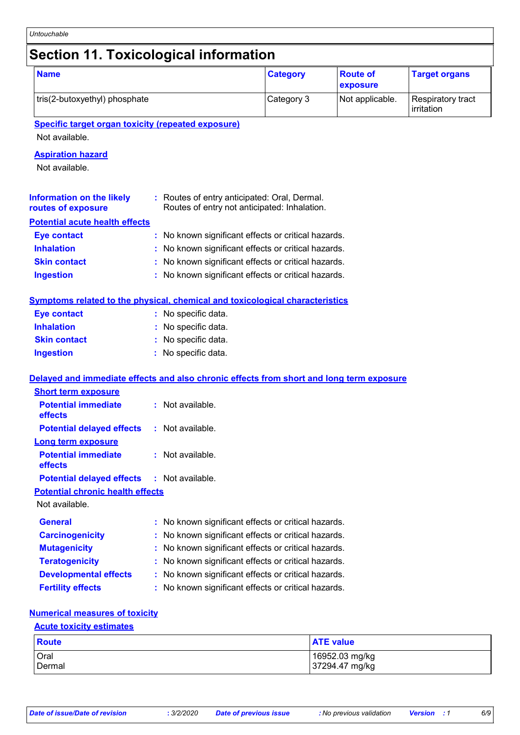# **Section 11. Toxicological information**

| <b>Name</b>                                                                              |                                                                                              | <b>Category</b> | <b>Route of</b><br>exposure | <b>Target organs</b>            |
|------------------------------------------------------------------------------------------|----------------------------------------------------------------------------------------------|-----------------|-----------------------------|---------------------------------|
| tris(2-butoxyethyl) phosphate                                                            |                                                                                              | Category 3      | Not applicable.             | Respiratory tract<br>irritation |
| <b>Specific target organ toxicity (repeated exposure)</b>                                |                                                                                              |                 |                             |                                 |
| Not available.                                                                           |                                                                                              |                 |                             |                                 |
| <b>Aspiration hazard</b>                                                                 |                                                                                              |                 |                             |                                 |
| Not available.                                                                           |                                                                                              |                 |                             |                                 |
|                                                                                          |                                                                                              |                 |                             |                                 |
| <b>Information on the likely</b><br>routes of exposure                                   | : Routes of entry anticipated: Oral, Dermal.<br>Routes of entry not anticipated: Inhalation. |                 |                             |                                 |
| <b>Potential acute health effects</b>                                                    |                                                                                              |                 |                             |                                 |
| <b>Eye contact</b>                                                                       | : No known significant effects or critical hazards.                                          |                 |                             |                                 |
| <b>Inhalation</b>                                                                        | No known significant effects or critical hazards.                                            |                 |                             |                                 |
| <b>Skin contact</b>                                                                      | : No known significant effects or critical hazards.                                          |                 |                             |                                 |
| <b>Ingestion</b>                                                                         | : No known significant effects or critical hazards.                                          |                 |                             |                                 |
|                                                                                          |                                                                                              |                 |                             |                                 |
| <b>Symptoms related to the physical, chemical and toxicological characteristics</b>      |                                                                                              |                 |                             |                                 |
| <b>Eye contact</b>                                                                       | : No specific data.                                                                          |                 |                             |                                 |
| <b>Inhalation</b>                                                                        | No specific data.                                                                            |                 |                             |                                 |
| <b>Skin contact</b>                                                                      | No specific data.                                                                            |                 |                             |                                 |
|                                                                                          |                                                                                              |                 |                             |                                 |
| <b>Ingestion</b>                                                                         | No specific data.                                                                            |                 |                             |                                 |
|                                                                                          |                                                                                              |                 |                             |                                 |
| Delayed and immediate effects and also chronic effects from short and long term exposure |                                                                                              |                 |                             |                                 |
| <b>Short term exposure</b>                                                               |                                                                                              |                 |                             |                                 |
| <b>Potential immediate</b><br>effects                                                    | : Not available.                                                                             |                 |                             |                                 |
| <b>Potential delayed effects</b>                                                         | : Not available.                                                                             |                 |                             |                                 |
| Long term exposure                                                                       |                                                                                              |                 |                             |                                 |
| <b>Potential immediate</b><br>effects                                                    | Not available.                                                                               |                 |                             |                                 |
| <b>Potential delayed effects</b>                                                         | Not available.<br>÷.                                                                         |                 |                             |                                 |
| <b>Potential chronic health effects</b>                                                  |                                                                                              |                 |                             |                                 |
| Not available.                                                                           |                                                                                              |                 |                             |                                 |
| <b>General</b>                                                                           | No known significant effects or critical hazards.                                            |                 |                             |                                 |
| <b>Carcinogenicity</b>                                                                   | No known significant effects or critical hazards.                                            |                 |                             |                                 |
| <b>Mutagenicity</b>                                                                      | No known significant effects or critical hazards.                                            |                 |                             |                                 |
| <b>Teratogenicity</b>                                                                    | No known significant effects or critical hazards.                                            |                 |                             |                                 |
| <b>Developmental effects</b>                                                             | No known significant effects or critical hazards.                                            |                 |                             |                                 |

### **Acute toxicity estimates**

| Route  | <b>ATE value</b> |
|--------|------------------|
| Oral   | 16952.03 mg/kg   |
| Dermal | 37294.47 mg/kg   |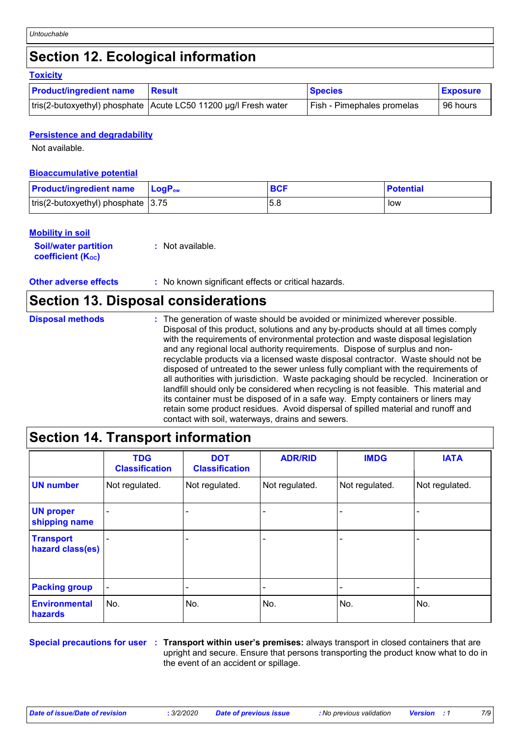## **Section 12. Ecological information**

#### **Toxicity**

| <b>Product/ingredient name</b> | <b>Besult</b>                                                     | <b>Species</b>             | <b>Exposure</b> |
|--------------------------------|-------------------------------------------------------------------|----------------------------|-----------------|
|                                | tris(2-butoxyethyl) phosphate   Acute LC50 11200 µg/l Fresh water | Fish - Pimephales promelas | 96 hours        |

#### **Persistence and degradability**

Not available.

#### **Bioaccumulative potential**

| <b>Product/ingredient name</b>                               | <b>LogP</b> <sub>ow</sub> | <b>BCF</b> | <b>Potential</b> |
|--------------------------------------------------------------|---------------------------|------------|------------------|
| $\text{tris}(2$ -butoxyethyl) phosphate $\vert 3.75 \rangle$ |                           | 5.8        | low              |

#### **Mobility in soil**

| <b>Soil/water partition</b>    | : Not available. |
|--------------------------------|------------------|
| coefficient (K <sub>oc</sub> ) |                  |

**Other adverse effects :** No known significant effects or critical hazards.

### **Section 13. Disposal considerations**

The generation of waste should be avoided or minimized wherever possible. Disposal of this product, solutions and any by-products should at all times comply with the requirements of environmental protection and waste disposal legislation and any regional local authority requirements. Dispose of surplus and nonrecyclable products via a licensed waste disposal contractor. Waste should not be disposed of untreated to the sewer unless fully compliant with the requirements of all authorities with jurisdiction. Waste packaging should be recycled. Incineration or landfill should only be considered when recycling is not feasible. This material and its container must be disposed of in a safe way. Empty containers or liners may retain some product residues. Avoid dispersal of spilled material and runoff and contact with soil, waterways, drains and sewers. **Disposal methods :**

### **Section 14. Transport information**

|                                      | <b>TDG</b><br><b>Classification</b> | <b>DOT</b><br><b>Classification</b> | <b>ADR/RID</b> | <b>IMDG</b>              | <b>IATA</b>    |
|--------------------------------------|-------------------------------------|-------------------------------------|----------------|--------------------------|----------------|
| <b>UN number</b>                     | Not regulated.                      | Not regulated.                      | Not regulated. | Not regulated.           | Not regulated. |
| <b>UN proper</b><br>shipping name    |                                     |                                     |                | $\overline{\phantom{0}}$ |                |
| <b>Transport</b><br>hazard class(es) |                                     |                                     |                | ۰                        |                |
| <b>Packing group</b>                 | $\overline{\phantom{a}}$            |                                     |                | $\overline{\phantom{a}}$ |                |
| <b>Environmental</b><br>hazards      | No.                                 | No.                                 | No.            | No.                      | No.            |

**Special precautions for user** : Transport within user's premises: always transport in closed containers that are upright and secure. Ensure that persons transporting the product know what to do in the event of an accident or spillage.

*Date of issue/Date of revision* **:** *3/2/2020 Date of previous issue : No previous validation Version : 1 7/9*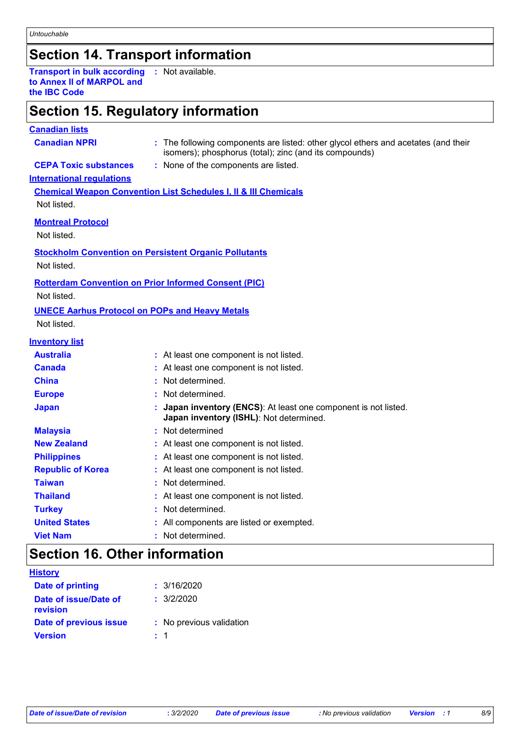### **Section 14. Transport information**

**Transport in bulk according to Annex II of MARPOL and the IBC Code :** Not available.

### **Section 15. Regulatory information**

#### **Canadian lists**

| <b>CEPA Toxic substances</b><br>: None of the components are listed.<br><b>Chemical Weapon Convention List Schedules I, II &amp; III Chemicals</b><br>Not listed.<br><b>Montreal Protocol</b><br>Not listed.<br><b>Stockholm Convention on Persistent Organic Pollutants</b><br>Not listed.<br><b>Rotterdam Convention on Prior Informed Consent (PIC)</b><br>Not listed.<br><b>UNECE Aarhus Protocol on POPs and Heavy Metals</b><br>Not listed.<br><b>Inventory list</b><br><b>Australia</b><br>: At least one component is not listed.<br><b>Canada</b><br>At least one component is not listed.<br>Not determined.<br>China<br>Not determined.<br><b>Europe</b><br>Japan inventory (ENCS): At least one component is not listed.<br><b>Japan</b><br>Japan inventory (ISHL): Not determined.<br>: Not determined<br><b>Malaysia</b><br><b>New Zealand</b><br>: At least one component is not listed.<br><b>Philippines</b><br>: At least one component is not listed.<br><b>Republic of Korea</b><br>At least one component is not listed.<br><b>Taiwan</b><br>Not determined.<br><b>Thailand</b><br>At least one component is not listed.<br>Not determined.<br><b>Turkey</b><br><b>United States</b><br>All components are listed or exempted.<br>Not determined.<br><b>Viet Nam</b> | <b>Canadian NPRI</b>             | : The following components are listed: other glycol ethers and acetates (and their<br>isomers); phosphorus (total); zinc (and its compounds) |
|-------------------------------------------------------------------------------------------------------------------------------------------------------------------------------------------------------------------------------------------------------------------------------------------------------------------------------------------------------------------------------------------------------------------------------------------------------------------------------------------------------------------------------------------------------------------------------------------------------------------------------------------------------------------------------------------------------------------------------------------------------------------------------------------------------------------------------------------------------------------------------------------------------------------------------------------------------------------------------------------------------------------------------------------------------------------------------------------------------------------------------------------------------------------------------------------------------------------------------------------------------------------------------------------|----------------------------------|----------------------------------------------------------------------------------------------------------------------------------------------|
|                                                                                                                                                                                                                                                                                                                                                                                                                                                                                                                                                                                                                                                                                                                                                                                                                                                                                                                                                                                                                                                                                                                                                                                                                                                                                           |                                  |                                                                                                                                              |
|                                                                                                                                                                                                                                                                                                                                                                                                                                                                                                                                                                                                                                                                                                                                                                                                                                                                                                                                                                                                                                                                                                                                                                                                                                                                                           | <b>International requlations</b> |                                                                                                                                              |
|                                                                                                                                                                                                                                                                                                                                                                                                                                                                                                                                                                                                                                                                                                                                                                                                                                                                                                                                                                                                                                                                                                                                                                                                                                                                                           |                                  |                                                                                                                                              |
|                                                                                                                                                                                                                                                                                                                                                                                                                                                                                                                                                                                                                                                                                                                                                                                                                                                                                                                                                                                                                                                                                                                                                                                                                                                                                           |                                  |                                                                                                                                              |
|                                                                                                                                                                                                                                                                                                                                                                                                                                                                                                                                                                                                                                                                                                                                                                                                                                                                                                                                                                                                                                                                                                                                                                                                                                                                                           |                                  |                                                                                                                                              |
|                                                                                                                                                                                                                                                                                                                                                                                                                                                                                                                                                                                                                                                                                                                                                                                                                                                                                                                                                                                                                                                                                                                                                                                                                                                                                           |                                  |                                                                                                                                              |
|                                                                                                                                                                                                                                                                                                                                                                                                                                                                                                                                                                                                                                                                                                                                                                                                                                                                                                                                                                                                                                                                                                                                                                                                                                                                                           |                                  |                                                                                                                                              |
|                                                                                                                                                                                                                                                                                                                                                                                                                                                                                                                                                                                                                                                                                                                                                                                                                                                                                                                                                                                                                                                                                                                                                                                                                                                                                           |                                  |                                                                                                                                              |
|                                                                                                                                                                                                                                                                                                                                                                                                                                                                                                                                                                                                                                                                                                                                                                                                                                                                                                                                                                                                                                                                                                                                                                                                                                                                                           |                                  |                                                                                                                                              |
|                                                                                                                                                                                                                                                                                                                                                                                                                                                                                                                                                                                                                                                                                                                                                                                                                                                                                                                                                                                                                                                                                                                                                                                                                                                                                           |                                  |                                                                                                                                              |
|                                                                                                                                                                                                                                                                                                                                                                                                                                                                                                                                                                                                                                                                                                                                                                                                                                                                                                                                                                                                                                                                                                                                                                                                                                                                                           |                                  |                                                                                                                                              |
|                                                                                                                                                                                                                                                                                                                                                                                                                                                                                                                                                                                                                                                                                                                                                                                                                                                                                                                                                                                                                                                                                                                                                                                                                                                                                           |                                  |                                                                                                                                              |
|                                                                                                                                                                                                                                                                                                                                                                                                                                                                                                                                                                                                                                                                                                                                                                                                                                                                                                                                                                                                                                                                                                                                                                                                                                                                                           |                                  |                                                                                                                                              |
|                                                                                                                                                                                                                                                                                                                                                                                                                                                                                                                                                                                                                                                                                                                                                                                                                                                                                                                                                                                                                                                                                                                                                                                                                                                                                           |                                  |                                                                                                                                              |
|                                                                                                                                                                                                                                                                                                                                                                                                                                                                                                                                                                                                                                                                                                                                                                                                                                                                                                                                                                                                                                                                                                                                                                                                                                                                                           |                                  |                                                                                                                                              |
|                                                                                                                                                                                                                                                                                                                                                                                                                                                                                                                                                                                                                                                                                                                                                                                                                                                                                                                                                                                                                                                                                                                                                                                                                                                                                           |                                  |                                                                                                                                              |
|                                                                                                                                                                                                                                                                                                                                                                                                                                                                                                                                                                                                                                                                                                                                                                                                                                                                                                                                                                                                                                                                                                                                                                                                                                                                                           |                                  |                                                                                                                                              |
|                                                                                                                                                                                                                                                                                                                                                                                                                                                                                                                                                                                                                                                                                                                                                                                                                                                                                                                                                                                                                                                                                                                                                                                                                                                                                           |                                  |                                                                                                                                              |
|                                                                                                                                                                                                                                                                                                                                                                                                                                                                                                                                                                                                                                                                                                                                                                                                                                                                                                                                                                                                                                                                                                                                                                                                                                                                                           |                                  |                                                                                                                                              |
|                                                                                                                                                                                                                                                                                                                                                                                                                                                                                                                                                                                                                                                                                                                                                                                                                                                                                                                                                                                                                                                                                                                                                                                                                                                                                           |                                  |                                                                                                                                              |
|                                                                                                                                                                                                                                                                                                                                                                                                                                                                                                                                                                                                                                                                                                                                                                                                                                                                                                                                                                                                                                                                                                                                                                                                                                                                                           |                                  |                                                                                                                                              |
|                                                                                                                                                                                                                                                                                                                                                                                                                                                                                                                                                                                                                                                                                                                                                                                                                                                                                                                                                                                                                                                                                                                                                                                                                                                                                           |                                  |                                                                                                                                              |
|                                                                                                                                                                                                                                                                                                                                                                                                                                                                                                                                                                                                                                                                                                                                                                                                                                                                                                                                                                                                                                                                                                                                                                                                                                                                                           |                                  |                                                                                                                                              |
|                                                                                                                                                                                                                                                                                                                                                                                                                                                                                                                                                                                                                                                                                                                                                                                                                                                                                                                                                                                                                                                                                                                                                                                                                                                                                           |                                  |                                                                                                                                              |
|                                                                                                                                                                                                                                                                                                                                                                                                                                                                                                                                                                                                                                                                                                                                                                                                                                                                                                                                                                                                                                                                                                                                                                                                                                                                                           |                                  |                                                                                                                                              |
|                                                                                                                                                                                                                                                                                                                                                                                                                                                                                                                                                                                                                                                                                                                                                                                                                                                                                                                                                                                                                                                                                                                                                                                                                                                                                           |                                  |                                                                                                                                              |
|                                                                                                                                                                                                                                                                                                                                                                                                                                                                                                                                                                                                                                                                                                                                                                                                                                                                                                                                                                                                                                                                                                                                                                                                                                                                                           |                                  |                                                                                                                                              |
|                                                                                                                                                                                                                                                                                                                                                                                                                                                                                                                                                                                                                                                                                                                                                                                                                                                                                                                                                                                                                                                                                                                                                                                                                                                                                           |                                  |                                                                                                                                              |

### **Section 16. Other information**

| <b>History</b>                    |                          |
|-----------------------------------|--------------------------|
| Date of printing                  | : 3/16/2020              |
| Date of issue/Date of<br>revision | : 3/2/2020               |
| Date of previous issue            | : No previous validation |
| <b>Version</b>                    | $\pm$ 1                  |